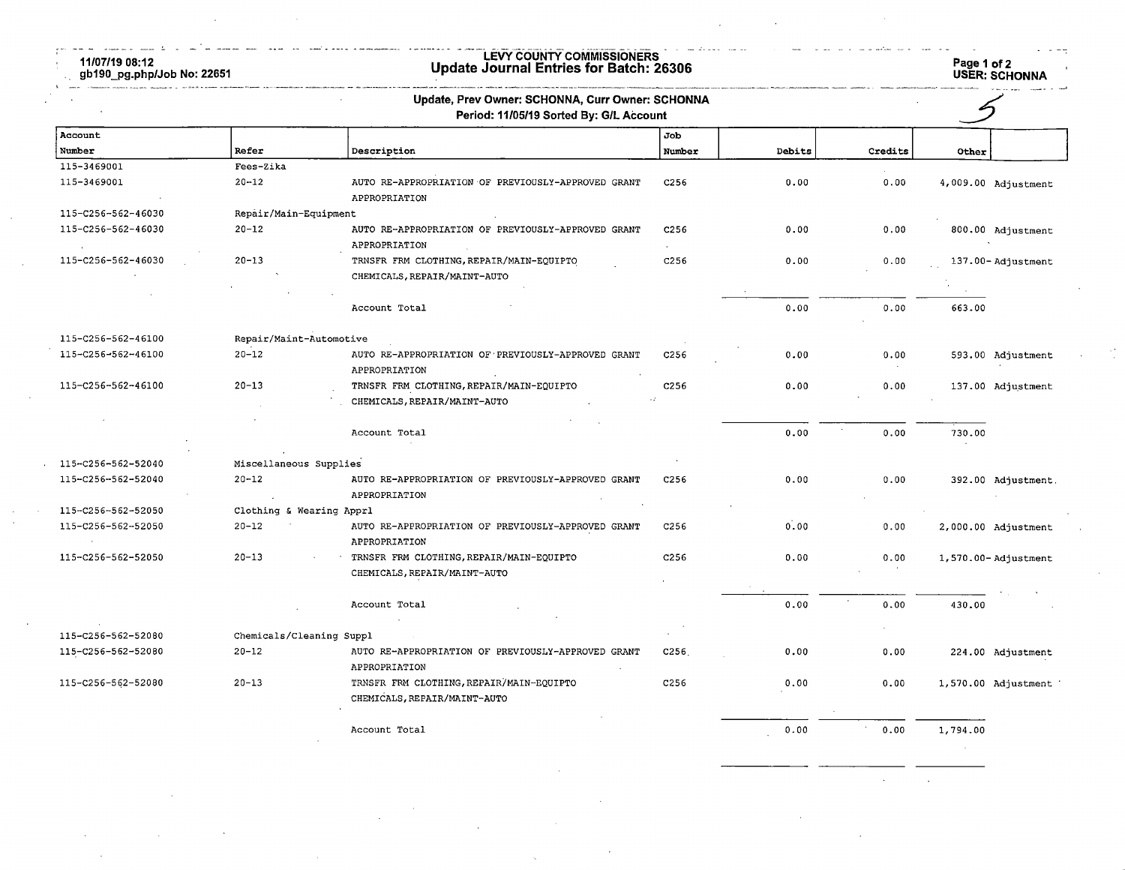11/07/19 08:12 gb190\_pg.php/Job No: 22651

## LEVY COUNTY COMMISSIONERS Update Journal Entries for Batch: 26306 Page 1 of 2

Page 1 of 2<br>USER: SCHONNA

|                                          |                                       | Update, Prev Owner: SCHONNA, Curr Owner: SCHONNA<br>Period: 11/05/19 Sorted By: G/L Account |                  |        |         |          |                     |
|------------------------------------------|---------------------------------------|---------------------------------------------------------------------------------------------|------------------|--------|---------|----------|---------------------|
| Account                                  |                                       |                                                                                             | Job              |        |         |          |                     |
| Number                                   | Refer                                 | Description                                                                                 | Number           | Debits | Credits | Other    |                     |
| 115-3469001                              | Fees-Zika                             |                                                                                             |                  |        |         |          |                     |
| 115-3469001                              | $20 - 12$                             | AUTO RE-APPROPRIATION OF PREVIOUSLY-APPROVED GRANT<br>APPROPRIATION                         | C <sub>256</sub> | 0.00   | 0.00    |          | 4,009.00 Adjustment |
| 115-C256-562-46030                       | Repair/Main-Equipment                 |                                                                                             |                  |        |         |          |                     |
| 115-C256-562-46030                       | $20 - 12$                             | AUTO RE-APPROPRIATION OF PREVIOUSLY-APPROVED GRANT<br>APPROPRIATION                         | C <sub>256</sub> | 0.00   | 0.00    |          | 800.00 Adjustment   |
| 115-C256-562-46030                       | $20 - 13$                             | TRNSFR FRM CLOTHING, REPAIR/MAIN-EQUIPTO<br>CHEMICALS, REPAIR/MAINT-AUTO                    | C <sub>256</sub> | 0.00   | 0.00    |          | 137.00-Adjustment   |
|                                          |                                       |                                                                                             |                  |        |         |          |                     |
|                                          |                                       | Account Total                                                                               |                  | 0.00   | 0.00    | 663.00   |                     |
| 115-C256-562-46100                       | Repair/Maint-Automotive               |                                                                                             |                  |        |         |          |                     |
| 115-C256-562-46100                       | $20 - 12$                             | AUTO RE-APPROPRIATION OF PREVIOUSLY-APPROVED GRANT<br>APPROPRIATION                         | C256             | 0.00   | 0.00    |          | 593.00 Adjustment   |
| 115-C256-562-46100                       | $20 - 13$                             | TRNSFR FRM CLOTHING, REPAIR/MAIN-EQUIPTO                                                    | C <sub>256</sub> | 0.00   | 0.00    |          | 137.00 Adjustment   |
|                                          |                                       | CHEMICALS, REPAIR/MAINT-AUTO                                                                |                  |        |         |          |                     |
|                                          |                                       | Account Total                                                                               |                  | 0.00   | 0.00    | 730.00   |                     |
| 115-C256-562-52040                       | Miscellaneous Supplies                |                                                                                             |                  |        |         |          |                     |
| 115-C256-562-52040                       | $20 - 12$                             | AUTO RE-APPROPRIATION OF PREVIOUSLY-APPROVED GRANT<br>APPROPRIATION                         | C <sub>256</sub> | 0.00   | 0.00    |          | 392.00 Adjustment.  |
| 115-C256-562-52050                       | Clothing & Wearing Apprl              |                                                                                             |                  |        |         |          |                     |
| 115-C256-562-52050                       | $20 - 12$                             | AUTO RE-APPROPRIATION OF PREVIOUSLY-APPROVED GRANT<br>APPROPRIATION                         | C <sub>256</sub> | 0.00   | 0.00    |          | 2,000.00 Adjustment |
| 115-C256-562-52050                       | $20 - 13$                             | TRNSFR FRM CLOTHING, REPAIR/MAIN-EQUIPTO<br>CHEMICALS, REPAIR/MAINT-AUTO                    | C <sub>256</sub> | 0.00   | 0.00    |          | 1,570.00-Adjustment |
|                                          |                                       | Account Total                                                                               |                  | 0.00   | 0.00    | 430.00   |                     |
|                                          |                                       |                                                                                             |                  |        |         |          |                     |
| 115-C256-562-52080<br>115-C256-562-52080 | Chemicals/Cleaning Suppl<br>$20 - 12$ |                                                                                             | C <sub>256</sub> |        |         |          |                     |
|                                          |                                       | AUTO RE-APPROPRIATION OF PREVIOUSLY-APPROVED GRANT<br>APPROPRIATION                         |                  | 0.00   | 0.00    |          | 224.00 Adjustment   |
| 115-C256-562-52080                       | $20 - 13$                             | TRNSFR FRM CLOTHING, REPAIR/MAIN-EQUIPTO<br>CHEMICALS, REPAIR/MAINT-AUTO                    | C <sub>256</sub> | 0.00   | 0.00    |          | 1,570.00 Adjustment |
|                                          |                                       | Account Total                                                                               |                  | 0.00   | 0.00    | 1,794.00 |                     |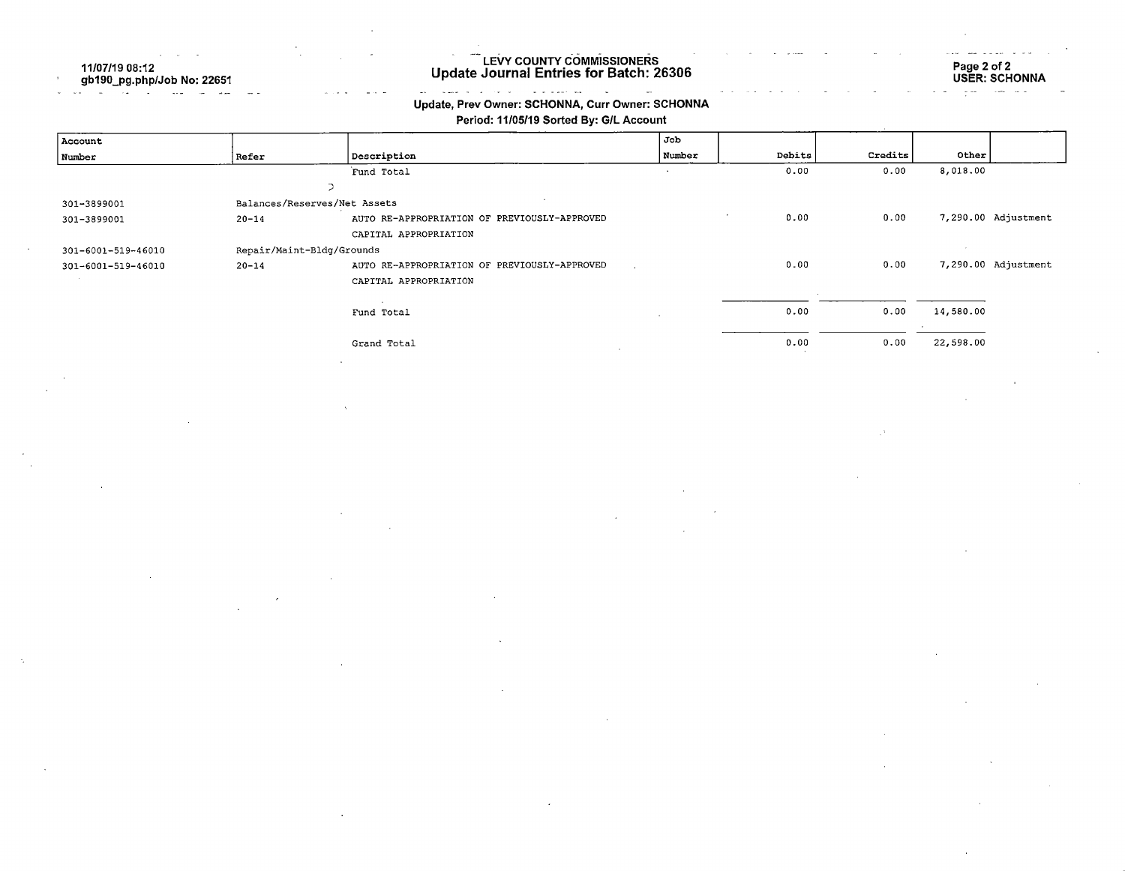11/07/19 08:12 gb190\_pg.php/Job No: 22651

### LEVY COUNTY COMMISSIONERS Update Journal Entries for Batch: 26306

Page 2 of 2 USER: SCHONNA

#### la de la construcción de la construcción de la construcción de la construcción de la construcción de la constr  $\overline{\phantom{a}}$ Update, Prev Owner: SCHONNA, Curr Owner: SCHONNA

Period: 11/05/19 Sorted By: G/L Account

| Account            |                              |                                              | Job    |        |         |           |                     |
|--------------------|------------------------------|----------------------------------------------|--------|--------|---------|-----------|---------------------|
| Number             | Refer                        | Description                                  | Number | Debits | Credits | Other     |                     |
|                    |                              | Fund Total                                   |        | 0.00   | 0.00    | 8,018.00  |                     |
|                    | $\overline{\phantom{a}}$     |                                              |        |        |         |           |                     |
| 301-3899001        | Balances/Reserves/Net Assets |                                              |        |        |         |           |                     |
| 301-3899001        | $20 - 14$                    | AUTO RE-APPROPRIATION OF PREVIOUSLY-APPROVED |        | 0.00   | 0.00    |           | 7,290.00 Adjustment |
|                    |                              | CAPITAL APPROPRIATION                        |        |        |         |           |                     |
| 301-6001-519-46010 | Repair/Maint-Bldg/Grounds    |                                              |        |        |         |           |                     |
| 301-6001-519-46010 | $20 - 14$                    | AUTO RE-APPROPRIATION OF PREVIOUSLY-APPROVED |        | 0.00   | 0.00    |           | 7,290.00 Adjustment |
|                    |                              | CAPITAL APPROPRIATION                        |        |        |         |           |                     |
|                    |                              |                                              |        |        |         |           |                     |
|                    |                              | Fund Total                                   |        | 0.00   | 0.00    | 14,580.00 |                     |
|                    |                              |                                              |        |        |         |           |                     |
|                    |                              | Grand Total                                  |        | 0.00   | 0.00    | 22,598.00 |                     |
|                    |                              |                                              |        |        |         |           |                     |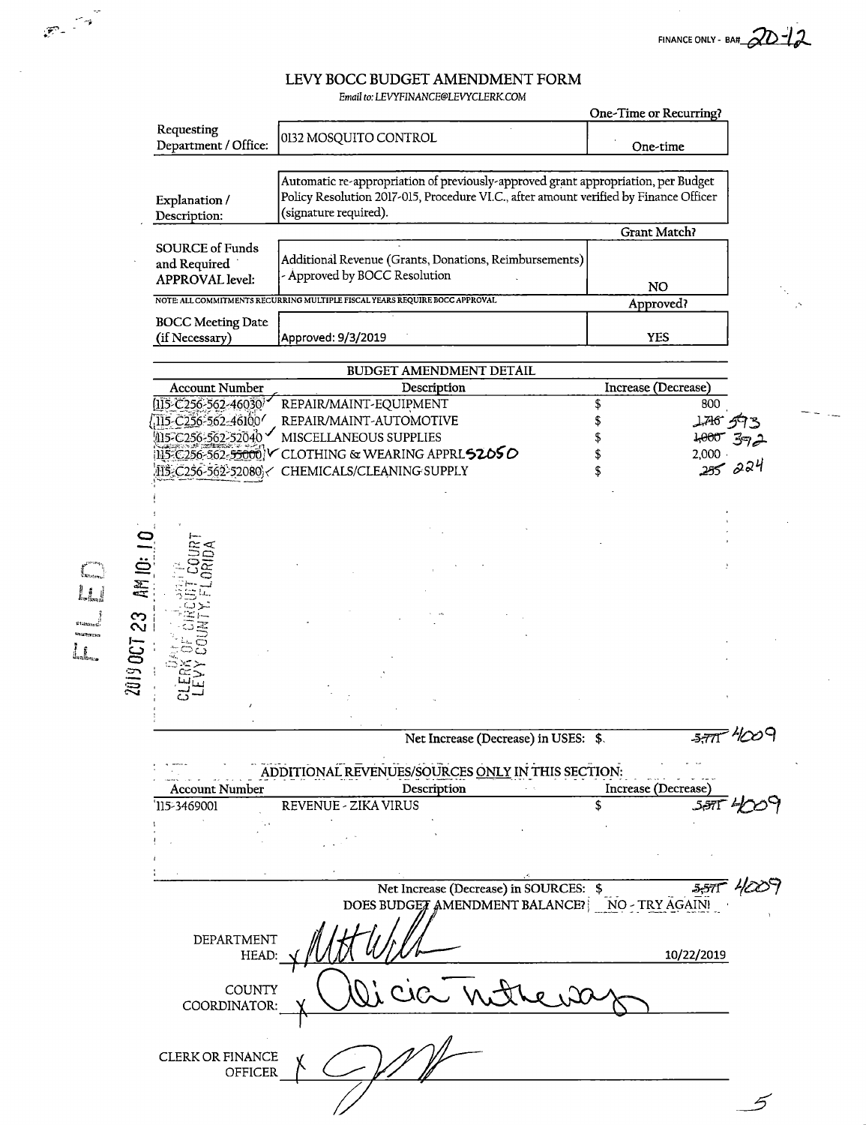FINANCE ONLY - BAH  $\mathcal{2D-12}$ 

 $\mathcal{A}$ 

5

## LEVY BOCC BUDGET AMENDMENT FORM

|                                                                  | Email to: LEVYFINANCE@LEVYCLERK.COM                                                                                                                                                                 |                                        |         |
|------------------------------------------------------------------|-----------------------------------------------------------------------------------------------------------------------------------------------------------------------------------------------------|----------------------------------------|---------|
|                                                                  |                                                                                                                                                                                                     | One-Time or Recurring?                 |         |
| Requesting<br>Department / Office:                               | 0132 MOSQUITO CONTROL                                                                                                                                                                               | One-time                               |         |
| Explanation /<br>Description:                                    | Automatic re-appropriation of previously-approved grant appropriation, per Budget<br>Policy Resolution 2017-015, Procedure VI.C., after amount verified by Finance Officer<br>(signature required). |                                        |         |
|                                                                  |                                                                                                                                                                                                     | Grant Match?                           |         |
| <b>SOURCE of Funds</b><br>and Required<br><b>APPROVAL</b> level: | Additional Revenue (Grants, Donations, Reimbursements)<br>- Approved by BOCC Resolution                                                                                                             | <b>NO</b>                              |         |
|                                                                  | NOTE: ALL COMMITMENTS RECURRING MULTIPLE FISCAL YEARS REQUIRE BOCC APPROVAL                                                                                                                         | Approved?                              |         |
| <b>BOCC Meeting Date</b><br>(if Necessary)                       | Approved: 9/3/2019                                                                                                                                                                                  | <b>YES</b>                             |         |
|                                                                  |                                                                                                                                                                                                     |                                        |         |
| <b>Account Number</b>                                            | BUDGET AMENDMENT DETAIL<br>Description                                                                                                                                                              | Increase (Decrease)                    |         |
| 115-C256-562-46030                                               | REPAIR/MAINT-EQUIPMENT                                                                                                                                                                              | \$<br>800                              |         |
| 115-C256-562-46100                                               | REPAIR/MAINT-AUTOMOTIVE                                                                                                                                                                             | \$<br>$1767 - 9$                       |         |
| 115-C256-562-52040                                               | MISCELLANEOUS SUPPLIES                                                                                                                                                                              | 1,000                                  |         |
| 115-C256-562- <del>55000</del>                                   | CLOTHING & WEARING APPRL52050                                                                                                                                                                       | 2,000                                  |         |
|                                                                  | IIS C256-562-52080 / CHEMICALS/CLEANING SUPPLY                                                                                                                                                      | \$                                     | 255.224 |
|                                                                  |                                                                                                                                                                                                     |                                        |         |
| AM 10: 1<br>23<br><b>2019 OCT</b>                                |                                                                                                                                                                                                     |                                        |         |
|                                                                  | Net Increase (Decrease) in USES: \$.                                                                                                                                                                |                                        | 577 WW  |
|                                                                  | ADDITIONAL REVENUES/SOURCES ONLY IN THIS SECTION:                                                                                                                                                   |                                        |         |
| <b>Account Number</b><br>115-3469001                             | Description<br>REVENUE - ZIKA VIRUS                                                                                                                                                                 | Increase (Decrease)<br>\$<br>$5,571$ 4 |         |
|                                                                  |                                                                                                                                                                                                     |                                        |         |
|                                                                  |                                                                                                                                                                                                     |                                        |         |
|                                                                  |                                                                                                                                                                                                     |                                        |         |
|                                                                  |                                                                                                                                                                                                     |                                        |         |
|                                                                  | Net Increase (Decrease) in SOURCES: \$<br>DOES BUDGET AMENDMENT BALANCE? NO - TRY AGAIN!                                                                                                            | $5,571 - 46$                           |         |
| DEPARTMENT<br>HEAD:                                              |                                                                                                                                                                                                     | 10/22/2019                             |         |
| COUNTY<br>COORDINATOR:                                           | $t_{1}N$ are                                                                                                                                                                                        |                                        |         |

CLERK OR FINANCE<br>OFFICER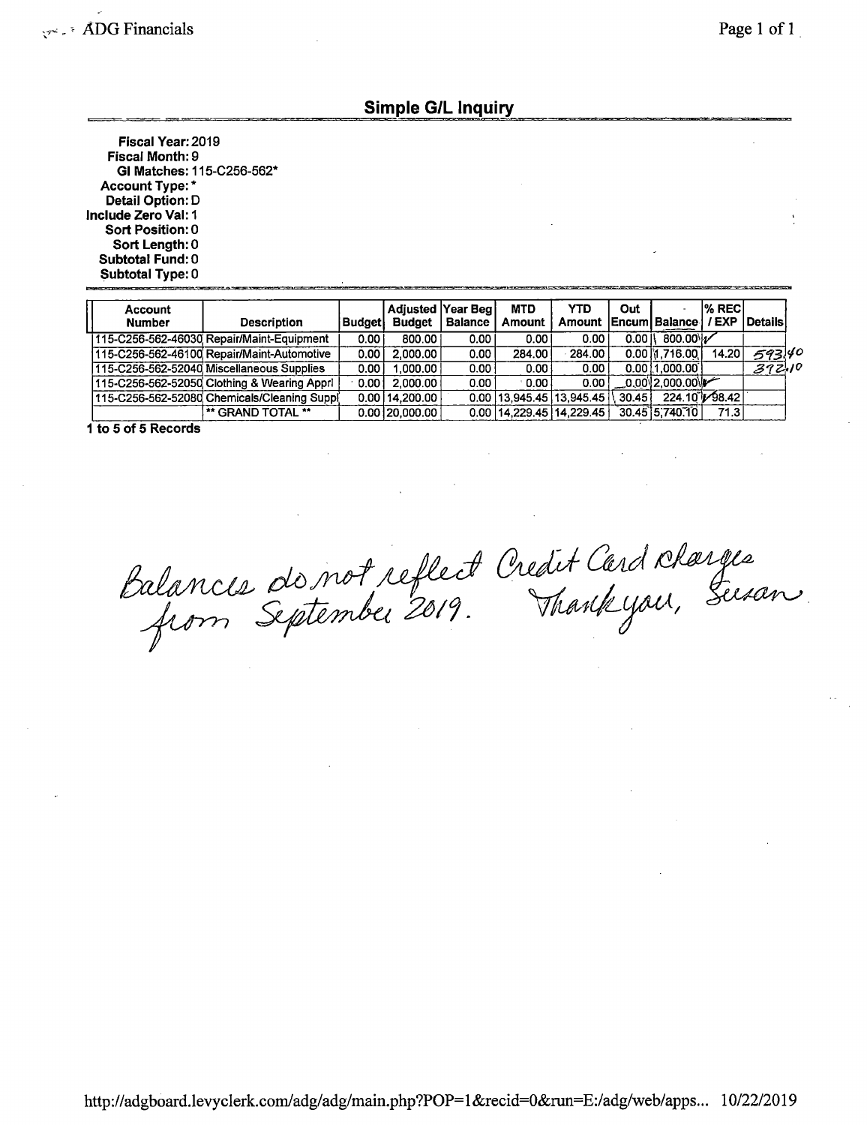### Simple G/L Inquiry

Fiscal Year: 2019 Fiscal Month: 9 Gl Matches: 115-C256-562\* Account Type: \* Detail Option: D Include Zero Val:1 Sort Position: 0 Sort Length: 0 Subtotal Fund: 0 Subtotal Type: 0

| Account<br><b>Number</b> | <b>Description</b>                          | Budaetl | Adjusted Year Beg<br><b>Budget</b> | <b>Balance</b>    | <b>MTD</b><br><b>Amount</b> | YTD<br>Amount Encum Balance              | Out               |                  | l% RECI<br>/EXP | <b>I</b> Details |
|--------------------------|---------------------------------------------|---------|------------------------------------|-------------------|-----------------------------|------------------------------------------|-------------------|------------------|-----------------|------------------|
|                          | 115-C256-562-46030 Repair/Maint-Equipment   | 0.001   | 800.00                             | 0.00 <sub>1</sub> | 0.00                        | 0.00                                     | $0.00$ $\sqrt{2}$ | 800.00 1/        |                 |                  |
|                          | 115-C256-562-46100 Repair/Maint-Automotive  | 0.001   | 2.000.00                           | 0.00              | 284.00                      | 284.00                                   |                   | $0.00$ M .716.00 | 14.20           | 593.40           |
|                          | 115-C256-562-52040 Miscellaneous Supplies   | 0.00 l  | 1.000.00                           | 0.00              | 0.00                        | 0.00                                     |                   | 0.0011,000.001   |                 | 372,10           |
|                          | 115-C256-562-52050 Clothing & Wearing Appri | 0.001   | 2.000.00                           | 0.00              | 0.00                        | 0.001                                    |                   | 0.0012.000.00    |                 |                  |
|                          | 115-C256-562-52080 Chemicals/Cleaning Suppl |         | $0.00$   14.200.00                 |                   |                             | $0.00$   13.945.45   13.945.45   \ 30.45 |                   | 224.10 [98.42]   |                 |                  |
|                          | ** GRAND TOTAL **                           |         | $0.00$ $ 20.000.00 $               |                   |                             | $0.00$   14, 229.45   14, 229.45         |                   | $30.45$ 5.740.10 | 71.3            |                  |

1 to 5 of 5 Records

Balances de not reflect Credit Card Rharges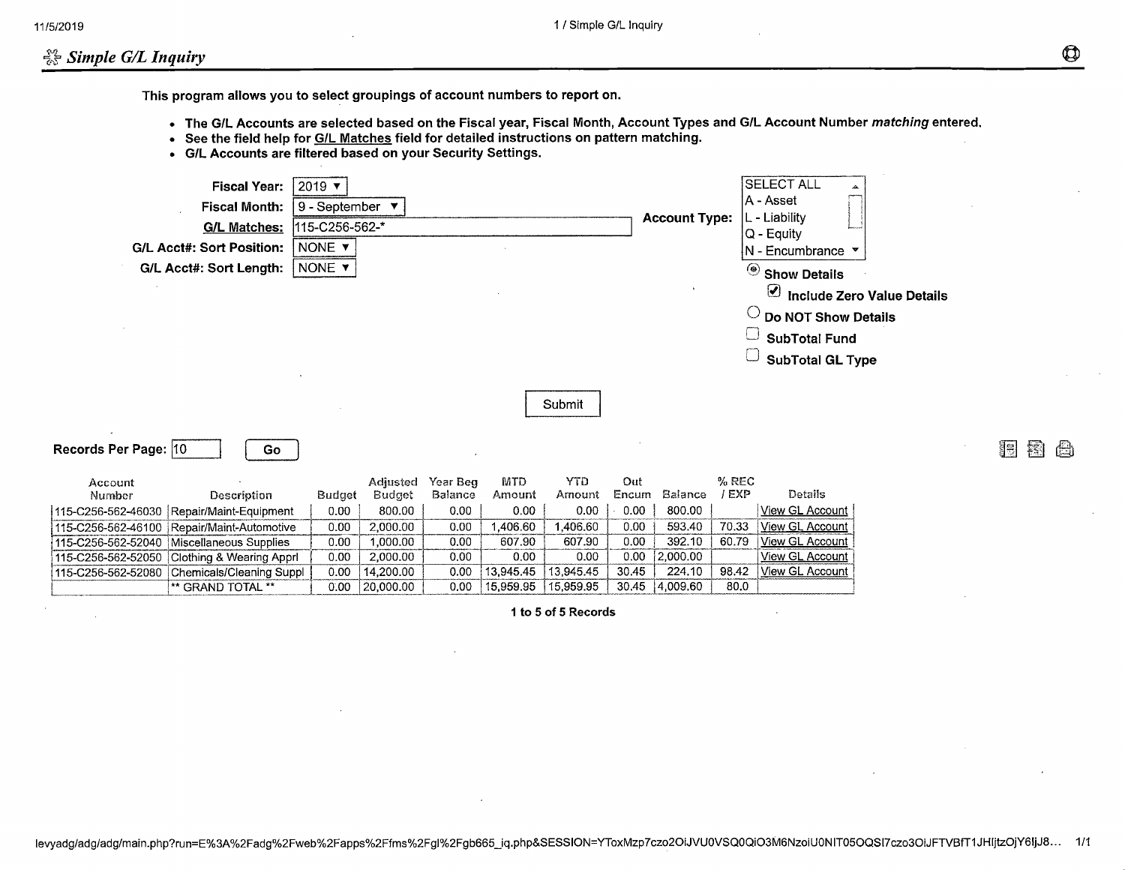## $\frac{100}{100}$  Simple G/L Inquiry

This program allows you to select groupings of account numbers to report on.

- The G/L Accounts are selected based on the Fiscal year, Fiscal Month, Account Types and G/L Account Number matching entered.
- See the field help for G/L Matches field for detailed instructions on pattern matching.
- G/L Accounts are filtered based on your Security Settings.

| <b>Fiscal Year:</b><br><b>Fiscal Month:</b><br><b>G/L Matches:</b><br><b>G/L Acct#: Sort Position:</b><br>G/L Acct#: Sort Length: | $2019$ $\blacktriangledown$<br>9 - September $\blacktriangledown$<br>115-C256-562-*<br>NONE Y<br>NONE Y |                        |              |                        |                        |                | <b>Account Type:</b> |               | <b>SELECT ALL</b><br> A - Asset<br>L - Liability<br>$ Q - \text{Equity} $<br>$\mathsf{N}$ - Encumbrance $\mathsf{\nabla}$<br>$\circledcirc$ Show Details<br>$\Theta$ Include Zero Value Details<br>$\circlearrowright$ Do NOT Show Details<br><b>SubTotal Fund</b><br><b>SubTotal GL Type</b> |   |        |
|-----------------------------------------------------------------------------------------------------------------------------------|---------------------------------------------------------------------------------------------------------|------------------------|--------------|------------------------|------------------------|----------------|----------------------|---------------|-----------------------------------------------------------------------------------------------------------------------------------------------------------------------------------------------------------------------------------------------------------------------------------------------|---|--------|
|                                                                                                                                   |                                                                                                         |                        |              |                        | Submit                 |                |                      |               |                                                                                                                                                                                                                                                                                               |   |        |
| Records Per Page: 10<br>Go.                                                                                                       |                                                                                                         |                        |              |                        |                        |                |                      |               |                                                                                                                                                                                                                                                                                               | 誯 | 黐<br>H |
| Account                                                                                                                           |                                                                                                         | Adjusted               | Year Beg     | <b>MTD</b>             | <b>YTD</b>             | Out            |                      | % REC         |                                                                                                                                                                                                                                                                                               |   |        |
| Number<br>Description                                                                                                             | Budget                                                                                                  | <b>Budget</b>          | Balance      | Amount                 | Amount                 | Encum          | Balance              | $/$ EXP       | <b>Details</b>                                                                                                                                                                                                                                                                                |   |        |
| 115-C256-562-46030 Repair/Maint-Equipment                                                                                         | 0.00                                                                                                    | 800.00                 | 0.00         | 0.00                   | 0.00                   | 0.00           | 800.00               |               | View GL Account                                                                                                                                                                                                                                                                               |   |        |
| 115-C256-562-46100 Repair/Maint-Automotive                                                                                        | 0.00                                                                                                    | 2,000.00               | 0.00         | ,406.60                | 1,406.60               | 0.00           | 593.40               | 70.33         | <b>View GL Account</b>                                                                                                                                                                                                                                                                        |   |        |
| 115-C256-562-52040 Miscellaneous Supplies                                                                                         | 0.00                                                                                                    | 1,000.00               | 0.00         | 607.90                 | 607.90                 | 0.00           | 392.10               | 60.79         | <b>View GL Account</b>                                                                                                                                                                                                                                                                        |   |        |
| 115-C256-562-52050 Clothing & Wearing Apprl                                                                                       | 0.00                                                                                                    | 2,000.00               | 0.00         | 0.00                   | 0.00                   | 0.00           | 2,000.00             |               | View GL Account                                                                                                                                                                                                                                                                               |   |        |
| Chemicals/Cleaning Suppl<br>115-C256-562-52080<br>** GRAND TOTAL **                                                               | 0.00<br>0.00                                                                                            | 14,200.00<br>20,000.00 | 0.00<br>0.00 | 13,945.45<br>15,959.95 | 13,945.45<br>15,959.95 | 30.45<br>30,45 | 224.10<br> 4,009.60  | 98.42<br>80.0 | View GL Account                                                                                                                                                                                                                                                                               |   |        |

1 to 5 of 5 Records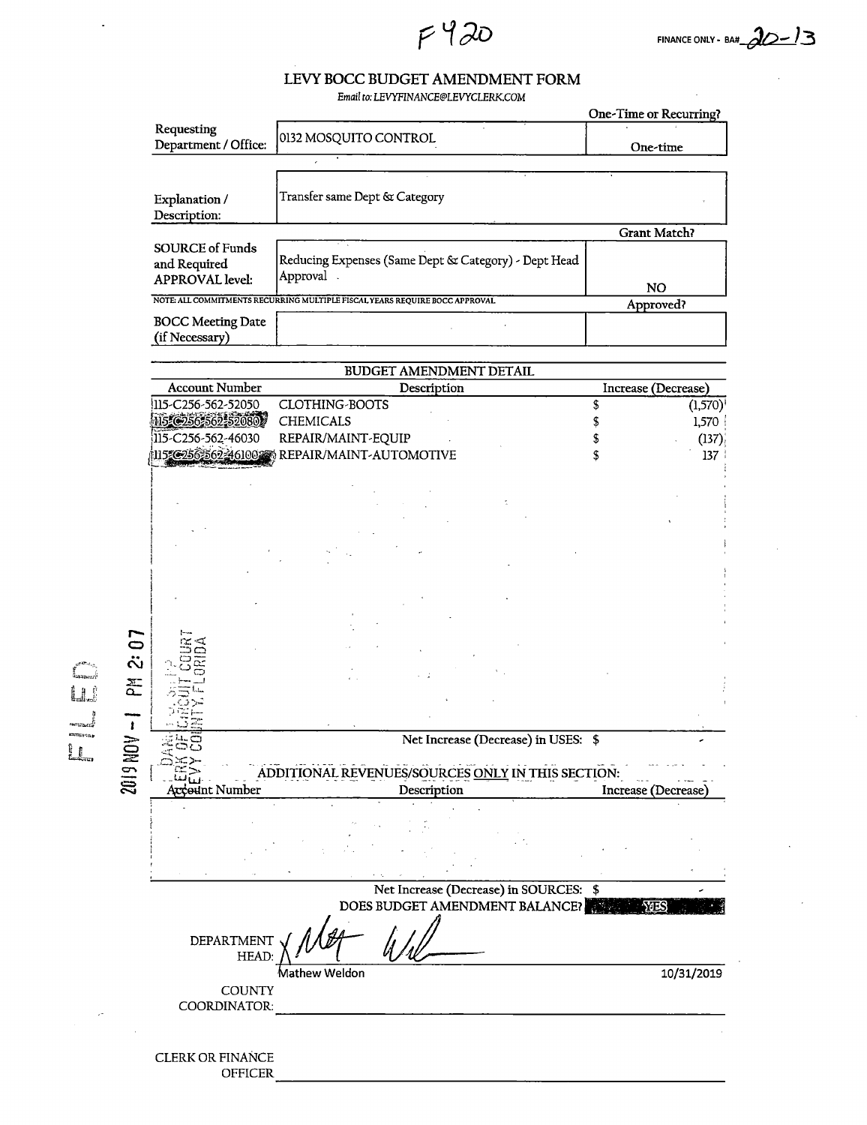# LEVY BOCC BUDGET AMENDMENT FORM

F 420

Email to: LEVYFINANCE@LEVYCLERK.COM

|                                            |                                                                             | One-Time or Recurring? |
|--------------------------------------------|-----------------------------------------------------------------------------|------------------------|
| Requesting<br>Department / Office:         | 0132 MOSQUITO CONTROL                                                       | One-time               |
|                                            |                                                                             |                        |
| Explanation /<br>Description:              | Transfer same Dept & Category                                               |                        |
|                                            |                                                                             | Grant Match?           |
| <b>SOURCE of Funds</b><br>and Required     | Reducing Expenses (Same Dept & Category) - Dept Head                        |                        |
| <b>APPROVAL</b> level:                     | Approval                                                                    | <b>NO</b>              |
|                                            | NOTE: ALL COMMITMENTS RECURRING MULTIPLE FISCAL YEARS REQUIRE BOCC APPROVAL | Approved?              |
| <b>BOCC Meeting Date</b><br>(if Necessary) |                                                                             |                        |